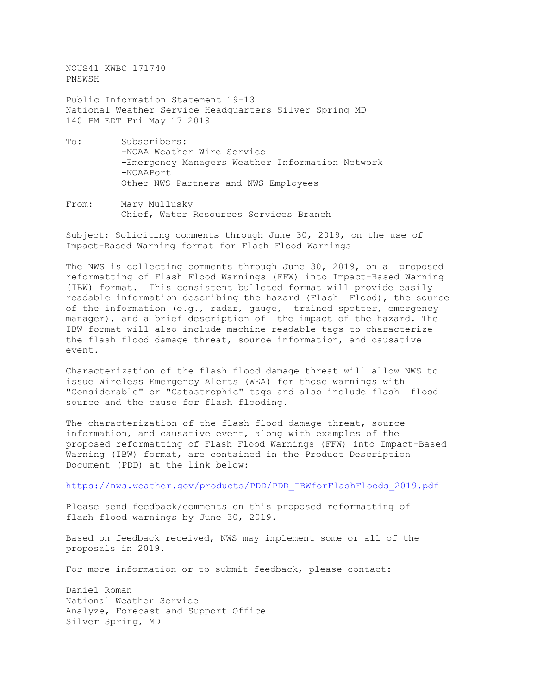NOUS41 KWBC 171740 PNSWSH Public Information Statement 19-13 National Weather Service Headquarters Silver Spring MD 140 PM EDT Fri May 17 2019 To: Subscribers:

- -NOAA Weather Wire Service -Emergency Managers Weather Information Network -NOAAPort Other NWS Partners and NWS Employees
- From: Mary Mullusky Chief, Water Resources Services Branch

Subject: Soliciting comments through June 30, 2019, on the use of Impact-Based Warning format for Flash Flood Warnings

The NWS is collecting comments through June 30, 2019, on a proposed reformatting of Flash Flood Warnings (FFW) into Impact-Based Warning (IBW) format. This consistent bulleted format will provide easily readable information describing the hazard (Flash Flood), the source of the information (e.g., radar, gauge, trained spotter, emergency manager), and a brief description of the impact of the hazard. The IBW format will also include machine-readable tags to characterize the flash flood damage threat, source information, and causative event.

Characterization of the flash flood damage threat will allow NWS to issue Wireless Emergency Alerts (WEA) for those warnings with "Considerable" or "Catastrophic" tags and also include flash flood source and the cause for flash flooding.

The characterization of the flash flood damage threat, source information, and causative event, along with examples of the proposed reformatting of Flash Flood Warnings (FFW) into Impact-Based Warning (IBW) format, are contained in the Product Description Document (PDD) at the link below:

[https://nws.weather.gov/products/PDD/PDD\\_IBWforFlashFloods\\_2019.pdf](https://nws.weather.gov/products/PDD/PDD_IBWforFlashFloods_2019.pdf)

Please send feedback/comments on this proposed reformatting of flash flood warnings by June 30, 2019.

Based on feedback received, NWS may implement some or all of the proposals in 2019.

For more information or to submit feedback, please contact:

Daniel Roman National Weather Service Analyze, Forecast and Support Office Silver Spring, MD